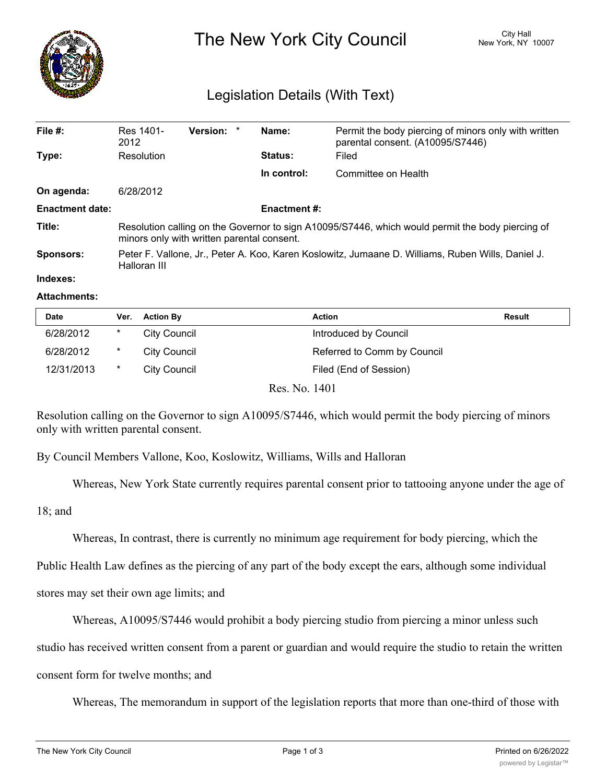

## Legislation Details (With Text)

| File $#$ :             | Res 1401-<br>2012                                                                                                                              | Version: * |  | Name:          | Permit the body piercing of minors only with written<br>parental consent. (A10095/S7446) |  |  |  |
|------------------------|------------------------------------------------------------------------------------------------------------------------------------------------|------------|--|----------------|------------------------------------------------------------------------------------------|--|--|--|
| Type:                  | Resolution                                                                                                                                     |            |  | <b>Status:</b> | Filed                                                                                    |  |  |  |
|                        |                                                                                                                                                |            |  | In control:    | Committee on Health                                                                      |  |  |  |
| On agenda:             | 6/28/2012                                                                                                                                      |            |  |                |                                                                                          |  |  |  |
| <b>Enactment date:</b> | <b>Enactment #:</b>                                                                                                                            |            |  |                |                                                                                          |  |  |  |
| Title:                 | Resolution calling on the Governor to sign A10095/S7446, which would permit the body piercing of<br>minors only with written parental consent. |            |  |                |                                                                                          |  |  |  |
| <b>Sponsors:</b>       | Peter F. Vallone, Jr., Peter A. Koo, Karen Koslowitz, Jumaane D. Williams, Ruben Wills, Daniel J.<br>Halloran III                              |            |  |                |                                                                                          |  |  |  |
| Indexes:               |                                                                                                                                                |            |  |                |                                                                                          |  |  |  |

## **Attachments:**

| <b>Date</b> | Ver.   | <b>Action By</b>    | Action                      | Result |
|-------------|--------|---------------------|-----------------------------|--------|
| 6/28/2012   | *      | <b>City Council</b> | Introduced by Council       |        |
| 6/28/2012   | $\ast$ | City Council        | Referred to Comm by Council |        |
| 12/31/2013  | *      | <b>City Council</b> | Filed (End of Session)      |        |

Res. No. 1401

Resolution calling on the Governor to sign A10095/S7446, which would permit the body piercing of minors only with written parental consent.

By Council Members Vallone, Koo, Koslowitz, Williams, Wills and Halloran

Whereas, New York State currently requires parental consent prior to tattooing anyone under the age of

18; and

Whereas, In contrast, there is currently no minimum age requirement for body piercing, which the

Public Health Law defines as the piercing of any part of the body except the ears, although some individual

stores may set their own age limits; and

Whereas, A10095/S7446 would prohibit a body piercing studio from piercing a minor unless such

studio has received written consent from a parent or guardian and would require the studio to retain the written

consent form for twelve months; and

Whereas, The memorandum in support of the legislation reports that more than one-third of those with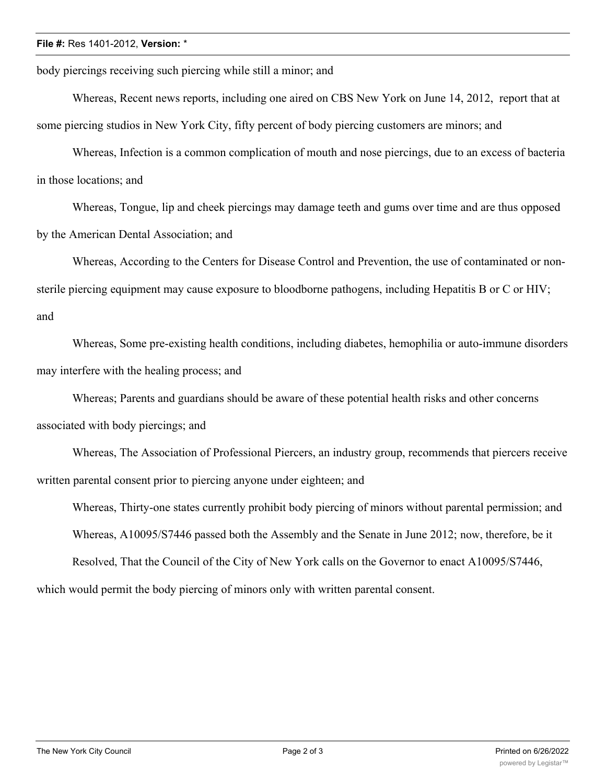## **File #:** Res 1401-2012, **Version:** \*

body piercings receiving such piercing while still a minor; and

Whereas, Recent news reports, including one aired on CBS New York on June 14, 2012, report that at some piercing studios in New York City, fifty percent of body piercing customers are minors; and

Whereas, Infection is a common complication of mouth and nose piercings, due to an excess of bacteria in those locations; and

Whereas, Tongue, lip and cheek piercings may damage teeth and gums over time and are thus opposed by the American Dental Association; and

Whereas, According to the Centers for Disease Control and Prevention, the use of contaminated or nonsterile piercing equipment may cause exposure to bloodborne pathogens, including Hepatitis B or C or HIV; and

Whereas, Some pre-existing health conditions, including diabetes, hemophilia or auto-immune disorders may interfere with the healing process; and

Whereas; Parents and guardians should be aware of these potential health risks and other concerns associated with body piercings; and

Whereas, The Association of Professional Piercers, an industry group, recommends that piercers receive written parental consent prior to piercing anyone under eighteen; and

Whereas, Thirty-one states currently prohibit body piercing of minors without parental permission; and Whereas, A10095/S7446 passed both the Assembly and the Senate in June 2012; now, therefore, be it

Resolved, That the Council of the City of New York calls on the Governor to enact A10095/S7446,

which would permit the body piercing of minors only with written parental consent.